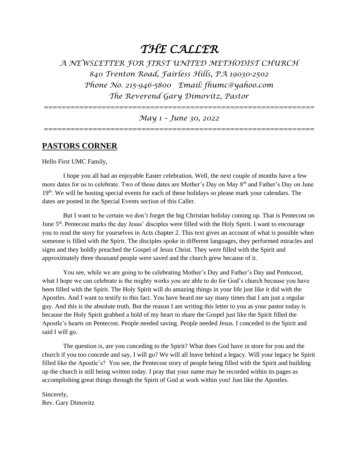# *THE CALLER*

*A NEWSLETTER FOR FIRST UNITED METHODIST CHURCH 840 Trenton Road, Fairless Hills, PA 19030-2502 Phone No. 215-946-5800 Email: fhumc@yahoo.com The Reverend Gary Dimovitz, Pastor* 

*=============================================================*

# *May 1 – June 30, 2022*

*=============================================================* 

# **PASTORS CORNER**

Hello First UMC Family,

I hope you all had an enjoyable Easter celebration. Well, the next couple of months have a few more dates for us to celebrate. Two of those dates are Mother's Day on May 8th and Father's Day on June 19<sup>th</sup>. We will be hosting special events for each of these holidays so please mark your calendars. The dates are posted in the Special Events section of this Caller.

But I want to be certain we don't forget the big Christian holiday coming up. That is Pentecost on June 5<sup>th</sup>. Pentecost marks the day Jesus' disciples were filled with the Holy Spirit. I want to encourage you to read the story for yourselves in Acts chapter 2. This text gives an account of what is possible when someone is filled with the Spirit. The disciples spoke in different languages, they performed miracles and signs and they boldly preached the Gospel of Jesus Christ. They were filled with the Spirit and approximately three thousand people were saved and the church grew because of it.

You see, while we are going to be celebrating Mother's Day and Father's Day and Pentecost, what I hope we can celebrate is the mighty works you are able to do for God's church because you have been filled with the Spirit. The Holy Spirit will do amazing things in your life just like it did with the Apostles. And I want to testify to this fact. You have heard me say many times that I am just a regular guy. And this is the absolute truth. But the reason I am writing this letter to you as your pastor today is because the Holy Spirit grabbed a hold of my heart to share the Gospel just like the Spirit filled the Apostle's hearts on Pentecost. People needed saving. People needed Jesus. I conceded to the Spirit and said I will go.

The question is, are you conceding to the Spirit? What does God have in store for you and the church if you too concede and say, I will go? We will all leave behind a legacy. Will your legacy be Spirit filled like the Apostle's? You see, the Pentecost story of people being filled with the Spirit and building up the church is still being written today. I pray that your name may be recorded within its pages as accomplishing great things through the Spirit of God at work within you! Just like the Apostles.

Sincerely, Rev. Gary Dimovitz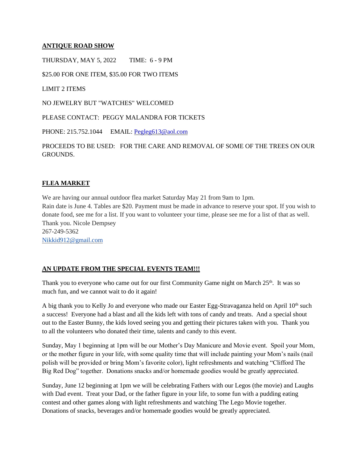# **ANTIQUE ROAD SHOW**

THURSDAY, MAY 5, 2022 TIME: 6 - 9 PM

\$25.00 FOR ONE ITEM, \$35.00 FOR TWO ITEMS

LIMIT 2 ITEMS

NO JEWELRY BUT "WATCHES" WELCOMED

PLEASE CONTACT: PEGGY MALANDRA FOR TICKETS

PHONE: 215.752.1044 EMAIL: [Pegleg613@aol.com](mailto:Pegleg613@aol.com)

PROCEEDS TO BE USED: FOR THE CARE AND REMOVAL OF SOME OF THE TREES ON OUR **GROUNDS** 

# **FLEA MARKET**

We are having our annual outdoor flea market Saturday May 21 from 9am to 1pm. Rain date is June 4. Tables are \$20. Payment must be made in advance to reserve your spot. If you wish to donate food, see me for a list. If you want to volunteer your time, please see me for a list of that as well. Thank you. Nicole Dempsey 267-249-5362 [Nikkid912@gmail.com](mailto:Nikkid912@gmail.com)

### **AN UPDATE FROM THE SPECIAL EVENTS TEAM!!!**

Thank you to everyone who came out for our first Community Game night on March  $25<sup>th</sup>$ . It was so much fun, and we cannot wait to do it again!

A big thank you to Kelly Jo and everyone who made our Easter Egg-Stravaganza held on April  $10<sup>th</sup>$  such a success! Everyone had a blast and all the kids left with tons of candy and treats. And a special shout out to the Easter Bunny, the kids loved seeing you and getting their pictures taken with you. Thank you to all the volunteers who donated their time, talents and candy to this event.

Sunday, May 1 beginning at 1pm will be our Mother's Day Manicure and Movie event. Spoil your Mom, or the mother figure in your life, with some quality time that will include painting your Mom's nails (nail polish will be provided or bring Mom's favorite color), light refreshments and watching "Clifford The Big Red Dog" together. Donations snacks and/or homemade goodies would be greatly appreciated.

Sunday, June 12 beginning at 1pm we will be celebrating Fathers with our Legos (the movie) and Laughs with Dad event. Treat your Dad, or the father figure in your life, to some fun with a pudding eating contest and other games along with light refreshments and watching The Lego Movie together. Donations of snacks, beverages and/or homemade goodies would be greatly appreciated.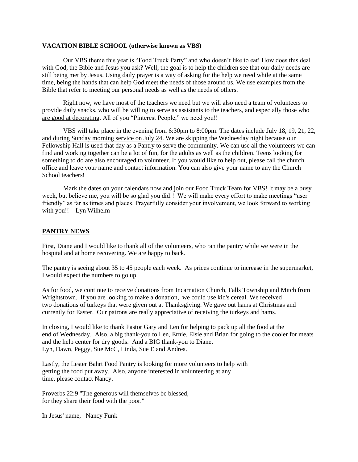#### **VACATION BIBLE SCHOOL (otherwise known as VBS)**

Our VBS theme this year is "Food Truck Party" and who doesn't like to eat! How does this deal with God, the Bible and Jesus you ask? Well, the goal is to help the children see that our daily needs are still being met by Jesus. Using daily prayer is a way of asking for the help we need while at the same time, being the hands that can help God meet the needs of those around us. We use examples from the Bible that refer to meeting our personal needs as well as the needs of others.

Right now, we have most of the teachers we need but we will also need a team of volunteers to provide daily snacks, who will be willing to serve as assistants to the teachers, and especially those who are good at decorating. All of you "Pinterest People," we need you!!

VBS will take place in the evening from 6:30pm to 8:00pm. The dates include July 18, 19, 21, 22, and during Sunday morning service on July 24. We are skipping the Wednesday night because our Fellowship Hall is used that day as a Pantry to serve the community. We can use all the volunteers we can find and working together can be a lot of fun, for the adults as well as the children. Teens looking for something to do are also encouraged to volunteer. If you would like to help out, please call the church office and leave your name and contact information. You can also give your name to any the Church School teachers!

Mark the dates on your calendars now and join our Food Truck Team for VBS! It may be a busy week, but believe me, you will be so glad you did!! We will make every effort to make meetings "user" friendly" as far as times and places. Prayerfully consider your involvement, we look forward to working with you!! Lyn Wilhelm

## **PANTRY NEWS**

First, Diane and I would like to thank all of the volunteers, who ran the pantry while we were in the hospital and at home recovering. We are happy to back.

The pantry is seeing about 35 to 45 people each week. As prices continue to increase in the supermarket, I would expect the numbers to go up.

As for food, we continue to receive donations from Incarnation Church, Falls Township and Mitch from Wrightstown. If you are looking to make a donation, we could use kid's cereal. We received two donations of turkeys that were given out at Thanksgiving. We gave out hams at Christmas and currently for Easter. Our patrons are really appreciative of receiving the turkeys and hams.

In closing, I would like to thank Pastor Gary and Len for helping to pack up all the food at the end of Wednesday. Also, a big thank-you to Len, Ernie, Elsie and Brian for going to the cooler for meats and the help center for dry goods. And a BIG thank-you to Diane, Lyn, Dawn, Peggy, Sue McC, Linda, Sue E and Andrea.

Lastly, the Lester Bahrt Food Pantry is looking for more volunteers to help with getting the food put away. Also, anyone interested in volunteering at any time, please contact Nancy.

Proverbs 22:9 "The generous will themselves be blessed, for they share their food with the poor."

In Jesus' name, Nancy Funk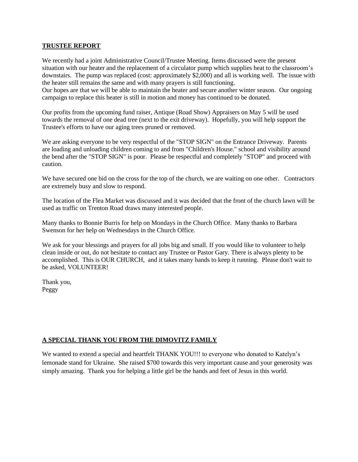#### **TRUSTEE REPORT**

We recently had a joint Administrative Council/Trustee Meeting. Items discussed were the present situation with our heater and the replacement of a circulator pump which supplies heat to the classroom's downstairs. The pump was replaced (cost: approximately \$2,000) and all is working well. The issue with the heater still remains the same and with many prayers is still functioning.

Our hopes are that we will be able to maintain the heater and secure another winter season. Our ongoing campaign to replace this heater is still in motion and money has continued to be donated.

Our profits from the upcoming fund raiser, Antique (Road Show) Appraisers on May 5 will be used towards the removal of one dead tree (next to the exit driveway). Hopefully, you will help support the Trustee's efforts to have our aging trees pruned or removed.

We are asking everyone to be very respectful of the "STOP SIGN" on the Entrance Driveway. Parents are loading and unloading children coming to and from "Children's House." school and visibility around the bend after the "STOP SIGN" is poor. Please be respectful and completely "STOP" and proceed with caution.

We have secured one bid on the cross for the top of the church, we are waiting on one other. Contractors are extremely busy and slow to respond.

The location of the Flea Market was discussed and it was decided that the front of the church lawn will be used as traffic on Trenton Road draws many interested people.

Many thanks to Bonnie Burris for help on Mondays in the Church Office. Many thanks to Barbara Swenson for her help on Wednesdays in the Church Office.

We ask for your blessings and prayers for all jobs big and small. If you would like to volunteer to help clean inside or out, do not hesitate to contact any Trustee or Pastor Gary. There is always plenty to be accomplished. This is OUR CHURCH, and it takes many hands to keep it running. Please don't wait to be asked, VOLUNTEER!

Thank you, Peggy

# **A SPECIAL THANK YOU FROM THE DIMOVITZ FAMILY**

We wanted to extend a special and heartfelt THANK YOU!!! to everyone who donated to Katelyn's lemonade stand for Ukraine. She raised \$700 towards this very important cause and your generosity was simply amazing. Thank you for helping a little girl be the hands and feet of Jesus in this world.